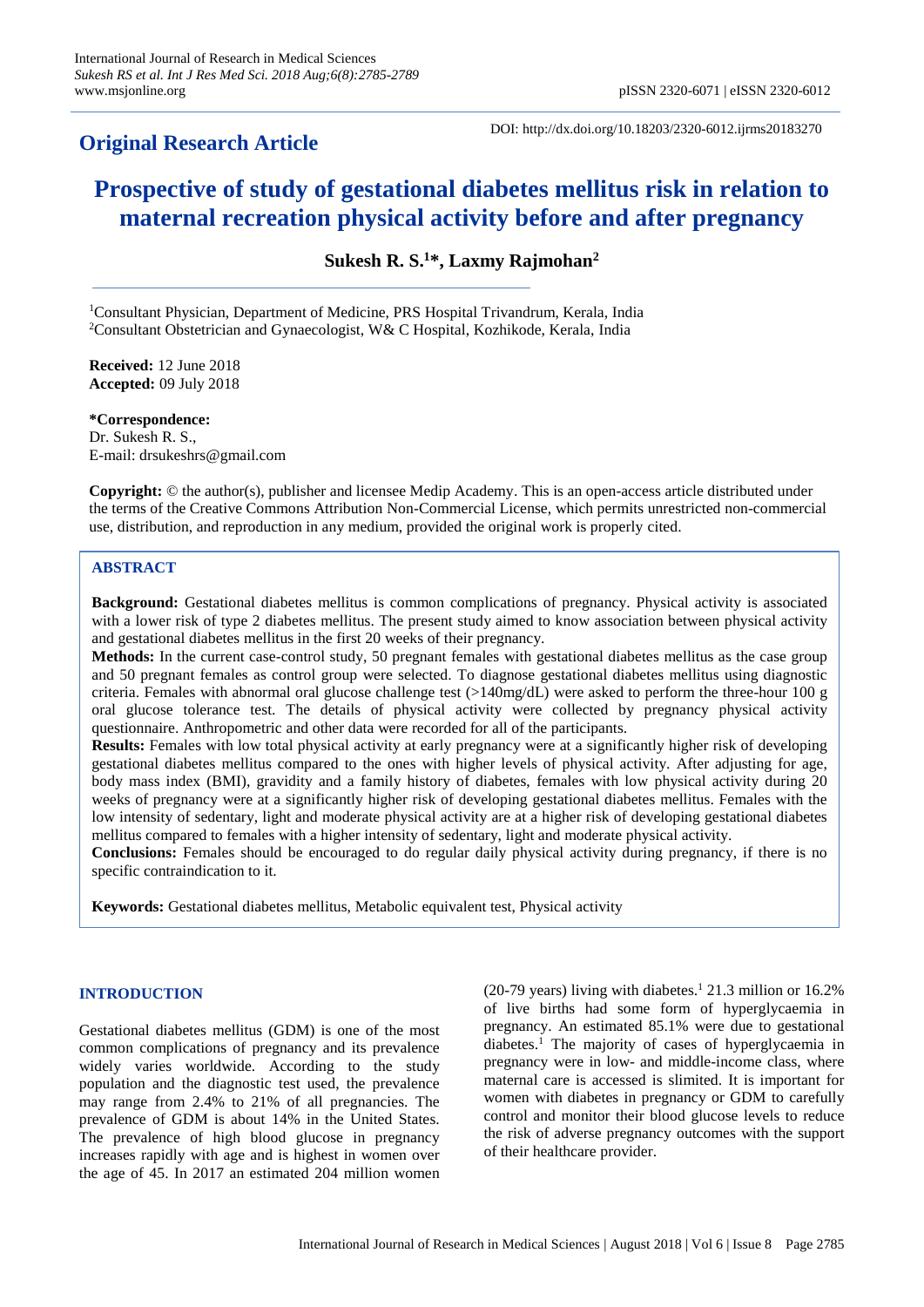# **Original Research Article**

DOI: http://dx.doi.org/10.18203/2320-6012.ijrms20183270

# **Prospective of study of gestational diabetes mellitus risk in relation to maternal recreation physical activity before and after pregnancy**

**Sukesh R. S. <sup>1</sup>\*, Laxmy Rajmohan<sup>2</sup>**

<sup>1</sup>Consultant Physician, Department of Medicine, PRS Hospital Trivandrum, Kerala, India <sup>2</sup>Consultant Obstetrician and Gynaecologist, W& C Hospital, Kozhikode, Kerala, India

**Received:** 12 June 2018 **Accepted:** 09 July 2018

**\*Correspondence:** Dr. Sukesh R. S., E-mail: drsukeshrs@gmail.com

**Copyright:** © the author(s), publisher and licensee Medip Academy. This is an open-access article distributed under the terms of the Creative Commons Attribution Non-Commercial License, which permits unrestricted non-commercial use, distribution, and reproduction in any medium, provided the original work is properly cited.

### **ABSTRACT**

**Background:** Gestational diabetes mellitus is common complications of pregnancy. Physical activity is associated with a lower risk of type 2 diabetes mellitus. The present study aimed to know association between physical activity and gestational diabetes mellitus in the first 20 weeks of their pregnancy.

**Methods:** In the current case-control study, 50 pregnant females with gestational diabetes mellitus as the case group and 50 pregnant females as control group were selected. To diagnose gestational diabetes mellitus using diagnostic criteria. Females with abnormal oral glucose challenge test  $(>140mg/dL)$  were asked to perform the three-hour 100 g oral glucose tolerance test. The details of physical activity were collected by pregnancy physical activity questionnaire. Anthropometric and other data were recorded for all of the participants.

**Results:** Females with low total physical activity at early pregnancy were at a significantly higher risk of developing gestational diabetes mellitus compared to the ones with higher levels of physical activity. After adjusting for age, body mass index (BMI), gravidity and a family history of diabetes, females with low physical activity during 20 weeks of pregnancy were at a significantly higher risk of developing gestational diabetes mellitus. Females with the low intensity of sedentary, light and moderate physical activity are at a higher risk of developing gestational diabetes mellitus compared to females with a higher intensity of sedentary, light and moderate physical activity.

**Conclusions:** Females should be encouraged to do regular daily physical activity during pregnancy, if there is no specific contraindication to it.

**Keywords:** Gestational diabetes mellitus, Metabolic equivalent test, Physical activity

# **INTRODUCTION**

Gestational diabetes mellitus (GDM) is one of the most common complications of pregnancy and its prevalence widely varies worldwide. According to the study population and the diagnostic test used, the prevalence may range from 2.4% to 21% of all pregnancies. The prevalence of GDM is about 14% in the United States. The prevalence of high blood glucose in pregnancy increases rapidly with age and is highest in women over the age of 45. In 2017 an estimated 204 million women

(20-79 years) living with diabetes. <sup>1</sup> 21.3 million or 16.2% of live births had some form of hyperglycaemia in pregnancy. An estimated 85.1% were due to gestational diabetes.<sup>1</sup> The majority of cases of hyperglycaemia in pregnancy were in low- and middle-income class, where maternal care is accessed is slimited. It is important for women with diabetes in pregnancy or GDM to carefully control and monitor their blood glucose levels to reduce the risk of adverse pregnancy outcomes with the support of their healthcare provider.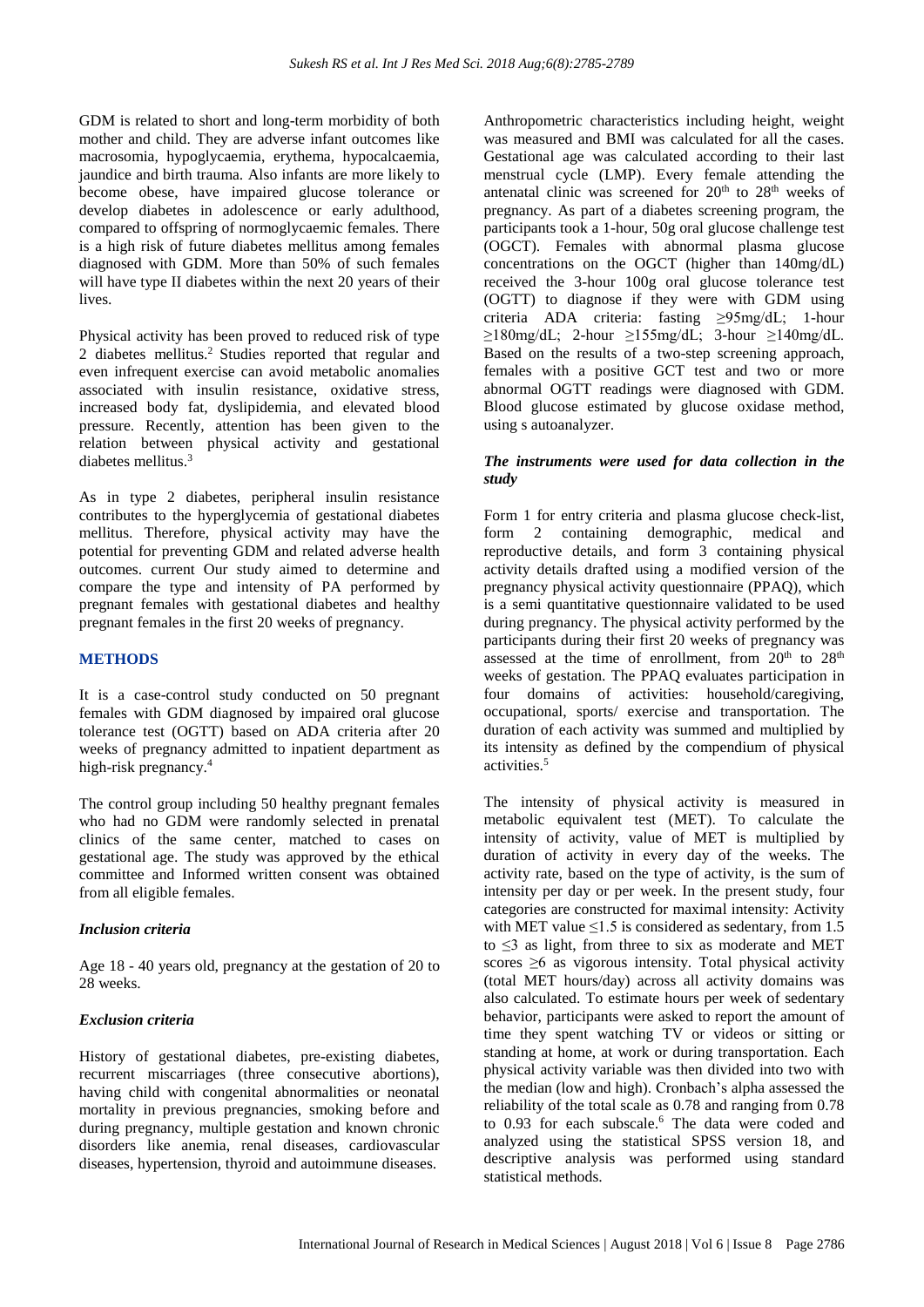GDM is related to short and long-term morbidity of both mother and child. They are adverse infant outcomes like macrosomia, hypoglycaemia, erythema, hypocalcaemia, jaundice and birth trauma. Also infants are more likely to become obese, have impaired glucose tolerance or develop diabetes in adolescence or early adulthood, compared to offspring of normoglycaemic females. There is a high risk of future diabetes mellitus among females diagnosed with GDM. More than 50% of such females will have type II diabetes within the next 20 years of their lives.

Physical activity has been proved to reduced risk of type 2 diabetes mellitus.<sup>2</sup> Studies reported that regular and even infrequent exercise can avoid metabolic anomalies associated with insulin resistance, oxidative stress, increased body fat, dyslipidemia, and elevated blood pressure. Recently, attention has been given to the relation between physical activity and gestational diabetes mellitus.<sup>3</sup>

As in type 2 diabetes, peripheral insulin resistance contributes to the hyperglycemia of gestational diabetes mellitus. Therefore, physical activity may have the potential for preventing GDM and related adverse health outcomes. current Our study aimed to determine and compare the type and intensity of PA performed by pregnant females with gestational diabetes and healthy pregnant females in the first 20 weeks of pregnancy.

#### **METHODS**

It is a case-control study conducted on 50 pregnant females with GDM diagnosed by impaired oral glucose tolerance test (OGTT) based on ADA criteria after 20 weeks of pregnancy admitted to inpatient department as high-risk pregnancy.<sup>4</sup>

The control group including 50 healthy pregnant females who had no GDM were randomly selected in prenatal clinics of the same center, matched to cases on gestational age. The study was approved by the ethical committee and Informed written consent was obtained from all eligible females.

#### *Inclusion criteria*

Age 18 - 40 years old, pregnancy at the gestation of 20 to 28 weeks.

#### *Exclusion criteria*

History of gestational diabetes, pre-existing diabetes, recurrent miscarriages (three consecutive abortions), having child with congenital abnormalities or neonatal mortality in previous pregnancies, smoking before and during pregnancy, multiple gestation and known chronic disorders like anemia, renal diseases, cardiovascular diseases, hypertension, thyroid and autoimmune diseases.

Anthropometric characteristics including height, weight was measured and BMI was calculated for all the cases. Gestational age was calculated according to their last menstrual cycle (LMP). Every female attending the antenatal clinic was screened for  $20<sup>th</sup>$  to  $28<sup>th</sup>$  weeks of pregnancy. As part of a diabetes screening program, the participants took a 1-hour, 50g oral glucose challenge test (OGCT). Females with abnormal plasma glucose concentrations on the OGCT (higher than 140mg/dL) received the 3-hour 100g oral glucose tolerance test (OGTT) to diagnose if they were with GDM using criteria ADA criteria: fasting ≥95mg/dL; 1-hour  $\geq$ 180mg/dL; 2-hour  $\geq$ 155mg/dL; 3-hour  $\geq$ 140mg/dL. Based on the results of a two-step screening approach, females with a positive GCT test and two or more abnormal OGTT readings were diagnosed with GDM. Blood glucose estimated by glucose oxidase method, using s autoanalyzer.

#### *The instruments were used for data collection in the study*

Form 1 for entry criteria and plasma glucose check-list, form 2 containing demographic, medical and reproductive details, and form 3 containing physical activity details drafted using a modified version of the pregnancy physical activity questionnaire (PPAQ), which is a semi quantitative questionnaire validated to be used during pregnancy. The physical activity performed by the participants during their first 20 weeks of pregnancy was assessed at the time of enrollment, from  $20<sup>th</sup>$  to  $28<sup>th</sup>$ weeks of gestation. The PPAQ evaluates participation in four domains of activities: household/caregiving, occupational, sports/ exercise and transportation. The duration of each activity was summed and multiplied by its intensity as defined by the compendium of physical activities.<sup>5</sup>

The intensity of physical activity is measured in metabolic equivalent test (MET). To calculate the intensity of activity, value of MET is multiplied by duration of activity in every day of the weeks. The activity rate, based on the type of activity, is the sum of intensity per day or per week. In the present study, four categories are constructed for maximal intensity: Activity with MET value  $\leq 1.5$  is considered as sedentary, from 1.5 to  $\leq$  3 as light, from three to six as moderate and MET scores >6 as vigorous intensity. Total physical activity (total MET hours/day) across all activity domains was also calculated. To estimate hours per week of sedentary behavior, participants were asked to report the amount of time they spent watching TV or videos or sitting or standing at home, at work or during transportation. Each physical activity variable was then divided into two with the median (low and high). Cronbach's alpha assessed the reliability of the total scale as 0.78 and ranging from 0.78 to 0.93 for each subscale.<sup>6</sup> The data were coded and analyzed using the statistical SPSS version 18, and descriptive analysis was performed using standard statistical methods.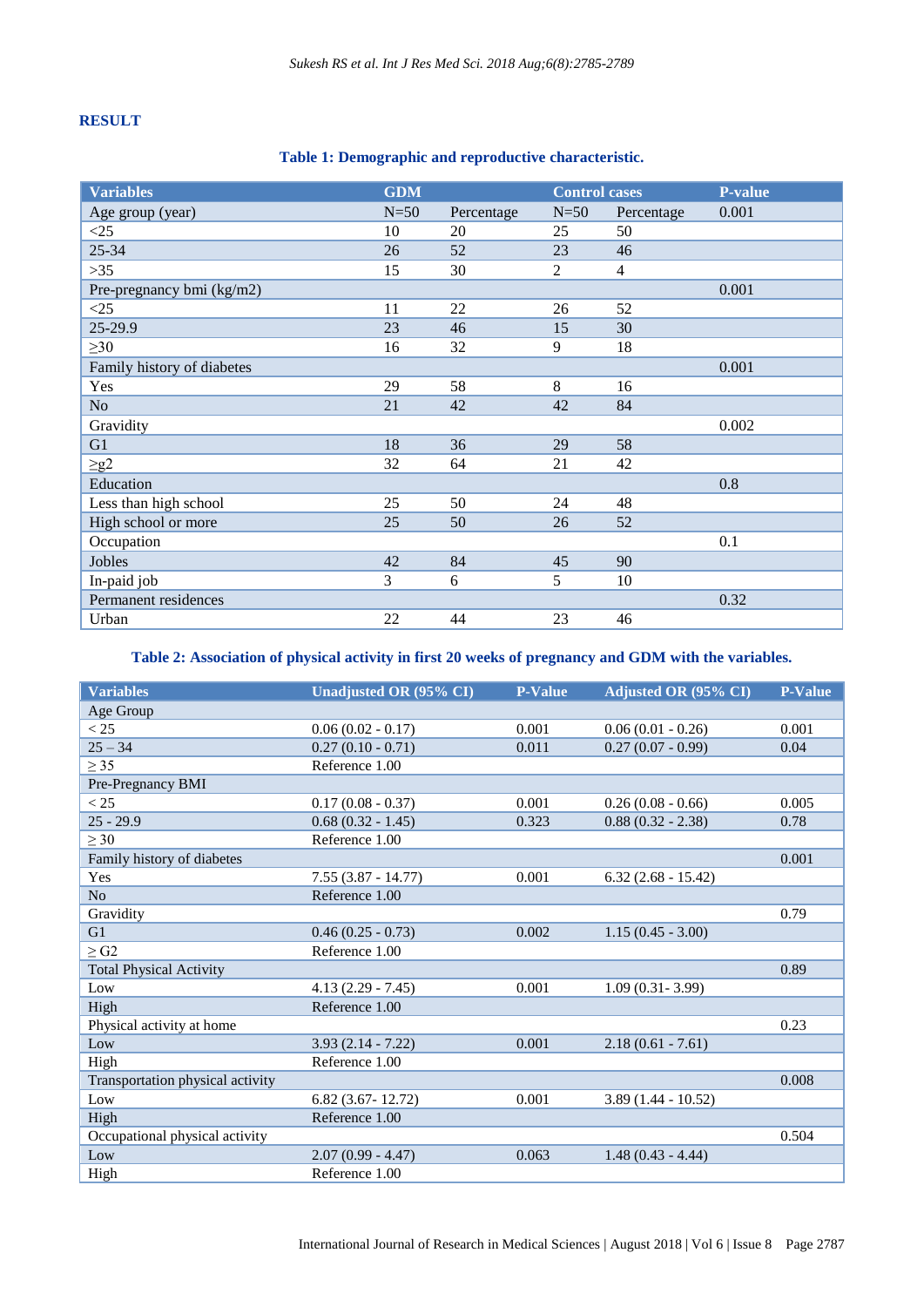# **RESULT**

# **Table 1: Demographic and reproductive characteristic.**

| <b>Variables</b>           | <b>GDM</b> |            | <b>Control cases</b> |                | <b>P-value</b> |
|----------------------------|------------|------------|----------------------|----------------|----------------|
| Age group (year)           | $N=50$     | Percentage | $N=50$               | Percentage     | 0.001          |
| <25                        | 10         | 20         | 25                   | 50             |                |
| 25-34                      | 26         | 52         | 23                   | 46             |                |
| $>35$                      | 15         | 30         | $\overline{2}$       | $\overline{4}$ |                |
| Pre-pregnancy bmi (kg/m2)  |            |            |                      |                | 0.001          |
| <25                        | 11         | 22         | 26                   | 52             |                |
| 25-29.9                    | 23         | 46         | 15                   | 30             |                |
| $\geq 30$                  | 16         | 32         | 9                    | 18             |                |
| Family history of diabetes |            |            |                      |                | 0.001          |
| Yes                        | 29         | 58         | 8                    | 16             |                |
| No                         | 21         | 42         | 42                   | 84             |                |
| Gravidity                  |            |            |                      |                | 0.002          |
| G1                         | 18         | 36         | 29                   | 58             |                |
| $\geq g2$                  | 32         | 64         | 21                   | 42             |                |
| Education                  |            |            |                      |                | 0.8            |
| Less than high school      | 25         | 50         | 24                   | 48             |                |
| High school or more        | 25         | 50         | 26                   | 52             |                |
| Occupation                 |            |            |                      |                | 0.1            |
| Jobles                     | 42         | 84         | 45                   | 90             |                |
| In-paid job                | 3          | 6          | 5                    | 10             |                |
| Permanent residences       |            |            |                      |                | 0.32           |
| Urban                      | 22         | 44         | 23                   | 46             |                |

**Table 2: Association of physical activity in first 20 weeks of pregnancy and GDM with the variables.**

| <b>Variables</b>                 | Unadjusted OR (95% CI) | <b>P-Value</b> | Adjusted OR (95% CI) | <b>P-Value</b> |
|----------------------------------|------------------------|----------------|----------------------|----------------|
| Age Group                        |                        |                |                      |                |
| < 25                             | $0.06(0.02 - 0.17)$    | 0.001          | $0.06(0.01 - 0.26)$  | 0.001          |
| $25 - 34$                        | $0.27(0.10 - 0.71)$    | 0.011          | $0.27(0.07 - 0.99)$  | 0.04           |
| $\geq$ 35                        | Reference 1.00         |                |                      |                |
| Pre-Pregnancy BMI                |                        |                |                      |                |
| < 25                             | $0.17(0.08 - 0.37)$    | 0.001          | $0.26(0.08 - 0.66)$  | 0.005          |
| $25 - 29.9$                      | $0.68(0.32 - 1.45)$    | 0.323          | $0.88(0.32 - 2.38)$  | 0.78           |
| $\geq 30$                        | Reference 1.00         |                |                      |                |
| Family history of diabetes       |                        |                |                      | 0.001          |
| Yes                              | $7.55(3.87 - 14.77)$   | 0.001          | $6.32(2.68 - 15.42)$ |                |
| N <sub>o</sub>                   | Reference 1.00         |                |                      |                |
| Gravidity                        |                        |                |                      | 0.79           |
| G1                               | $0.46(0.25 - 0.73)$    | 0.002          | $1.15(0.45 - 3.00)$  |                |
| $\geq$ G2                        | Reference 1.00         |                |                      |                |
| <b>Total Physical Activity</b>   |                        |                |                      | 0.89           |
| Low                              | $4.13(2.29 - 7.45)$    | 0.001          | $1.09(0.31 - 3.99)$  |                |
| High                             | Reference 1.00         |                |                      |                |
| Physical activity at home        |                        |                |                      | 0.23           |
| Low                              | $3.93(2.14 - 7.22)$    | 0.001          | $2.18(0.61 - 7.61)$  |                |
| High                             | Reference 1.00         |                |                      |                |
| Transportation physical activity |                        |                |                      | 0.008          |
| Low                              | $6.82(3.67 - 12.72)$   | 0.001          | $3.89(1.44 - 10.52)$ |                |
| High                             | Reference 1.00         |                |                      |                |
| Occupational physical activity   |                        |                |                      | 0.504          |
| Low                              | $2.07(0.99 - 4.47)$    | 0.063          | $1.48(0.43 - 4.44)$  |                |
| High                             | Reference 1.00         |                |                      |                |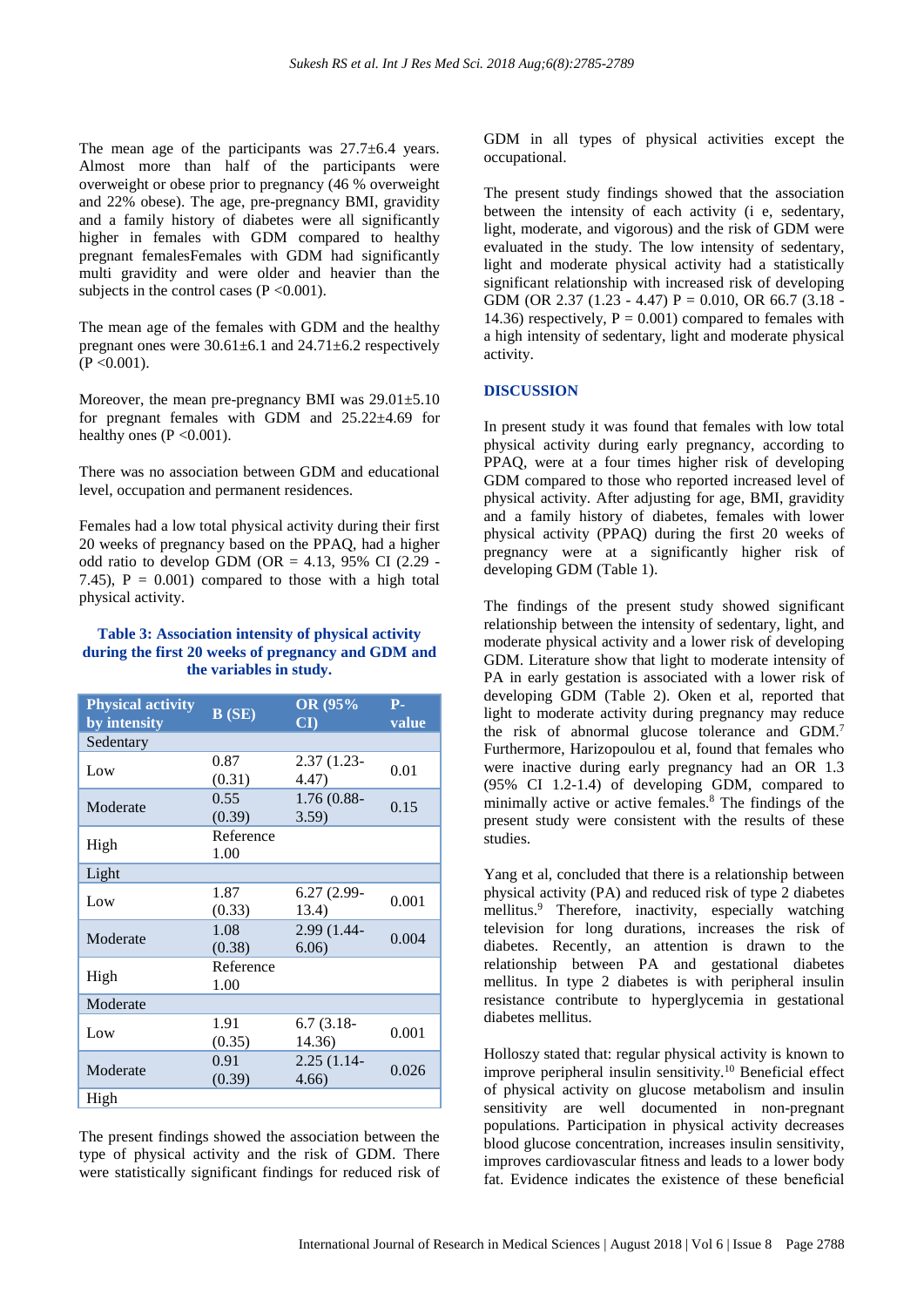The mean age of the participants was  $27.7\pm6.4$  years. Almost more than half of the participants were overweight or obese prior to pregnancy (46 % overweight and 22% obese). The age, pre-pregnancy BMI, gravidity and a family history of diabetes were all significantly higher in females with GDM compared to healthy pregnant femalesFemales with GDM had significantly multi gravidity and were older and heavier than the subjects in the control cases  $(P \le 0.001)$ .

The mean age of the females with GDM and the healthy pregnant ones were  $30.61 \pm 6.1$  and  $24.71 \pm 6.2$  respectively  $(P < 0.001)$ .

Moreover, the mean pre-pregnancy BMI was  $29.01 \pm 5.10$ for pregnant females with GDM and  $25.22\pm4.69$  for healthy ones  $(P \le 0.001)$ .

There was no association between GDM and educational level, occupation and permanent residences.

Females had a low total physical activity during their first 20 weeks of pregnancy based on the PPAQ, had a higher odd ratio to develop GDM (OR = 4.13, 95% CI  $(2.29 -$ 7.45),  $P = 0.001$  compared to those with a high total physical activity.

#### **Table 3: Association intensity of physical activity during the first 20 weeks of pregnancy and GDM and the variables in study.**

| <b>Physical activity</b><br>by intensity | B(SE)             | OR (95%<br>$\mathbf{C}\mathbf{I}$ | <b>P-</b><br>value |
|------------------------------------------|-------------------|-----------------------------------|--------------------|
| Sedentary                                |                   |                                   |                    |
| Low                                      | 0.87<br>(0.31)    | 2.37 (1.23-<br>4.47)              | 0.01               |
| Moderate                                 | 0.55<br>(0.39)    | $1.76(0.88 -$<br>3.59)            | 0.15               |
| High                                     | Reference<br>1.00 |                                   |                    |
| Light                                    |                   |                                   |                    |
| Low                                      | 1.87<br>(0.33)    | 6.27 (2.99-<br>13.4)              | 0.001              |
| Moderate                                 | 1.08<br>(0.38)    | 2.99 (1.44-<br>6.06               | 0.004              |
| High                                     | Reference<br>1.00 |                                   |                    |
| Moderate                                 |                   |                                   |                    |
| Low                                      | 1.91<br>(0.35)    | $6.7(3.18-$<br>14.36)             | 0.001              |
| Moderate                                 | 0.91<br>(0.39)    | $2.25(1.14-$<br>4.66              | 0.026              |
| High                                     |                   |                                   |                    |

The present findings showed the association between the type of physical activity and the risk of GDM. There were statistically significant findings for reduced risk of GDM in all types of physical activities except the occupational.

The present study findings showed that the association between the intensity of each activity (i e, sedentary, light, moderate, and vigorous) and the risk of GDM were evaluated in the study. The low intensity of sedentary, light and moderate physical activity had a statistically significant relationship with increased risk of developing GDM (OR 2.37 (1.23 - 4.47)  $P = 0.010$ , OR 66.7 (3.18 -14.36) respectively,  $P = 0.001$  compared to females with a high intensity of sedentary, light and moderate physical activity.

#### **DISCUSSION**

In present study it was found that females with low total physical activity during early pregnancy, according to PPAQ, were at a four times higher risk of developing GDM compared to those who reported increased level of physical activity. After adjusting for age, BMI, gravidity and a family history of diabetes, females with lower physical activity (PPAQ) during the first 20 weeks of pregnancy were at a significantly higher risk of developing GDM (Table 1).

The findings of the present study showed significant relationship between the intensity of sedentary, light, and moderate physical activity and a lower risk of developing GDM. Literature show that light to moderate intensity of PA in early gestation is associated with a lower risk of developing GDM (Table 2). Oken et al, reported that light to moderate activity during pregnancy may reduce the risk of abnormal glucose tolerance and GDM.<sup>7</sup> Furthermore, Harizopoulou et al, found that females who were inactive during early pregnancy had an OR 1.3 (95% CI 1.2-1.4) of developing GDM, compared to minimally active or active females.<sup>8</sup> The findings of the present study were consistent with the results of these studies.

Yang et al, concluded that there is a relationship between physical activity (PA) and reduced risk of type 2 diabetes mellitus.<sup>9</sup> Therefore, inactivity, especially watching television for long durations, increases the risk of diabetes. Recently, an attention is drawn to the relationship between PA and gestational diabetes mellitus. In type 2 diabetes is with peripheral insulin resistance contribute to hyperglycemia in gestational diabetes mellitus.

Holloszy stated that: regular physical activity is known to improve peripheral insulin sensitivity.<sup>10</sup> Beneficial effect of physical activity on glucose metabolism and insulin sensitivity are well documented in non-pregnant populations. Participation in physical activity decreases blood glucose concentration, increases insulin sensitivity, improves cardiovascular fitness and leads to a lower body fat. Evidence indicates the existence of these beneficial